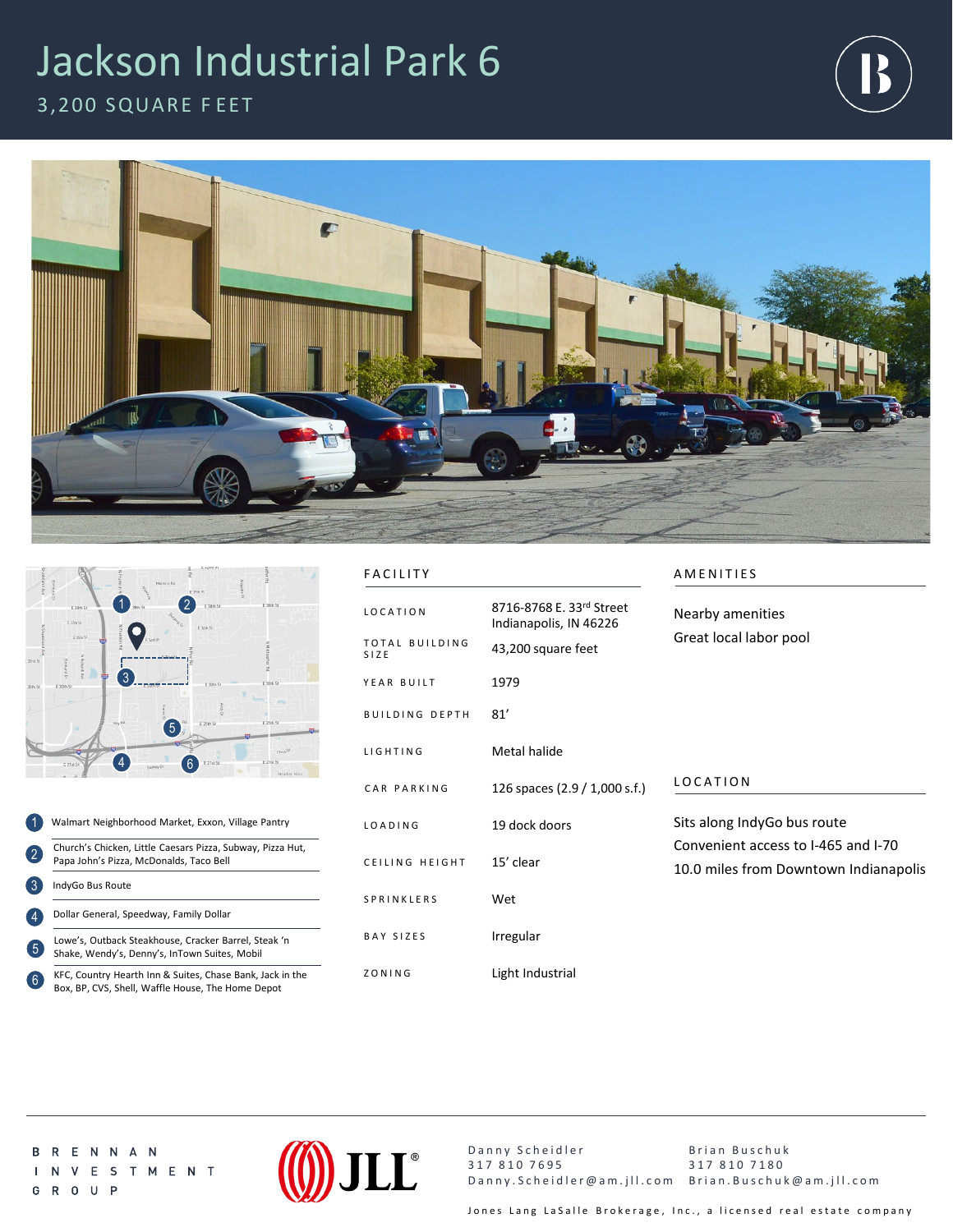## Jackson Industrial Park 6



3,200 SQUARE F EET





1 2 3 4 5 Walmart Neighborhood Market, Exxon, Village Pantry Church's Chicken, Little Caesars Pizza, Subway, Pizza Hut, Papa John's Pizza, McDonalds, Taco Bell IndyGo Bus Route Lowe's, Outback Steakhouse, Cracker Barrel, Steak 'n Shake, Wendy's, Denny's, InTown Suites, Mobil Dollar General, Speedway, Family Dollar

KFC, Country Hearth Inn & Suites, Chase Bank, Jack in the Box, BP, CVS, Shell, Waffle House, The Home Depot 6

## FACILITY AMENITIES

| <b>LOCATION</b>               | 8716-8768 E. 33rd Street<br>Indianapolis, IN 46226 | Nearby amenities<br>Great local labor pool                                                                  |
|-------------------------------|----------------------------------------------------|-------------------------------------------------------------------------------------------------------------|
| <b>TOTAL BUILDING</b><br>SIZE | 43,200 square feet                                 |                                                                                                             |
| YEAR BUILT                    | 1979                                               |                                                                                                             |
| <b>BUILDING DEPTH</b>         | 81'                                                |                                                                                                             |
| <b>LIGHTING</b>               | Metal halide                                       |                                                                                                             |
| CAR PARKING                   | 126 spaces (2.9 / 1,000 s.f.)                      | LOCATION                                                                                                    |
| LOADING                       | 19 dock doors                                      | Sits along IndyGo bus route<br>Convenient access to I-465 and I-70<br>10.0 miles from Downtown Indianapolis |
| CEILING HEIGHT                | 15' clear                                          |                                                                                                             |
| SPRINKLERS                    | Wet                                                |                                                                                                             |
| BAY SIZES                     | Irregular                                          |                                                                                                             |
| ZONING                        | Light Industrial                                   |                                                                                                             |

**BRENNAN** I N V E S T M E N T G R O U P



Danny Scheidler 317 810 7695 Danny.Scheidler@am.jll.com Brian.Buschuk@am.jll.com Brian Buschuk 317 810 7180

Jones Lang LaSalle Brokerage, Inc., a licensed real estate company